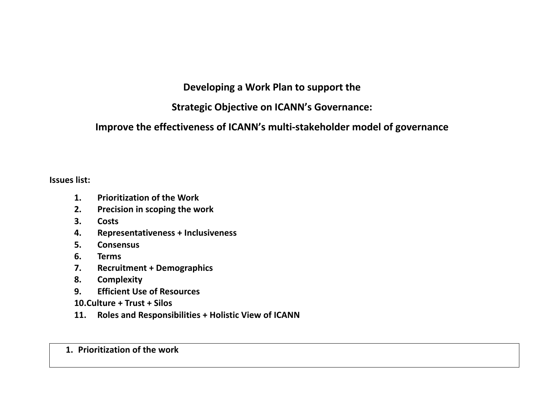## **Developing a Work Plan to support the**

**Strategic Objective on ICANN's Governance:** 

**Improve the effectiveness of ICANN's multi-stakeholder model of governance**

**Issues list:**

- **1. Prioritization of the Work**
- **2. Precision in scoping the work**
- **3. Costs**
- **4. Representativeness + Inclusiveness**
- **5. Consensus**
- **6. Terms**
- **7. Recruitment + Demographics**
- **8. Complexity**
- **9. Efficient Use of Resources**
- **10.Culture + Trust + Silos**
- **11. Roles and Responsibilities + Holistic View of ICANN**
- **1. Prioritization of the work**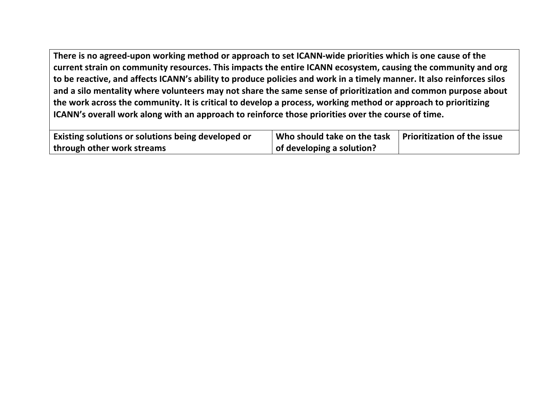**There is no agreed-upon working method or approach to set ICANN-wide priorities which is one cause of the current strain on community resources. This impacts the entire ICANN ecosystem, causing the community and org to be reactive, and affects ICANN's ability to produce policies and work in a timely manner. It also reinforces silos and a silo mentality where volunteers may not share the same sense of prioritization and common purpose about the work across the community. It is critical to develop a process, working method or approach to prioritizing ICANN's overall work along with an approach to reinforce those priorities over the course of time.**

| <b>Existing solutions or solutions being developed or</b> | Who should take on the task   Prioritization of the issue |  |
|-----------------------------------------------------------|-----------------------------------------------------------|--|
| through other work streams                                | of developing a solution?                                 |  |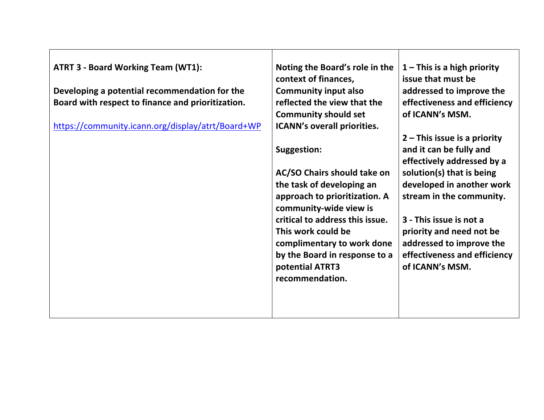| Noting the Board's role in the                                                                                                                             | $1 -$ This is a high priority                                                                                                                                                 |
|------------------------------------------------------------------------------------------------------------------------------------------------------------|-------------------------------------------------------------------------------------------------------------------------------------------------------------------------------|
| context of finances,<br><b>Community input also</b><br>reflected the view that the<br><b>Community should set</b><br><b>ICANN's overall priorities.</b>    | issue that must be<br>addressed to improve the<br>effectiveness and efficiency<br>of ICANN's MSM.                                                                             |
| Suggestion:<br>AC/SO Chairs should take on<br>the task of developing an<br>approach to prioritization. A<br>community-wide view is                         | $2$ – This issue is a priority<br>and it can be fully and<br>effectively addressed by a<br>solution(s) that is being<br>developed in another work<br>stream in the community. |
| critical to address this issue.<br>This work could be<br>complimentary to work done<br>by the Board in response to a<br>potential ATRT3<br>recommendation. | 3 - This issue is not a<br>priority and need not be<br>addressed to improve the<br>effectiveness and efficiency<br>of ICANN's MSM.                                            |
|                                                                                                                                                            |                                                                                                                                                                               |

 $\overline{\phantom{0}}$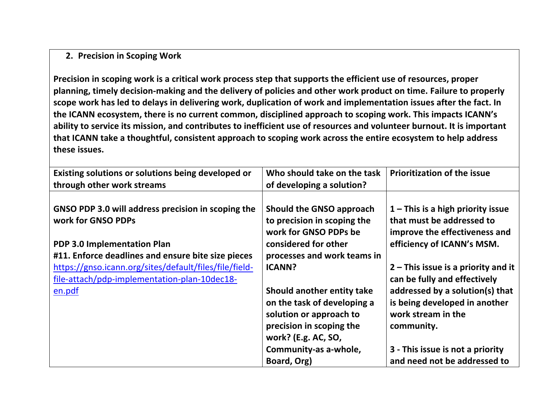## **2. Precision in Scoping Work**

**Precision in scoping work is a critical work process step that supports the efficient use of resources, proper planning, timely decision-making and the delivery of policies and other work product on time. Failure to properly scope work has led to delays in delivering work, duplication of work and implementation issues after the fact. In the ICANN ecosystem, there is no current common, disciplined approach to scoping work. This impacts ICANN's ability to service its mission, and contributes to inefficient use of resources and volunteer burnout. It is important that ICANN take a thoughtful, consistent approach to scoping work across the entire ecosystem to help address these issues.** 

| Existing solutions or solutions being developed or<br>through other work streams                                                                             | Who should take on the task<br>of developing a solution?                                                 | <b>Prioritization of the issue</b>                                                                                              |
|--------------------------------------------------------------------------------------------------------------------------------------------------------------|----------------------------------------------------------------------------------------------------------|---------------------------------------------------------------------------------------------------------------------------------|
| GNSO PDP 3.0 will address precision in scoping the<br>work for GNSO PDPs<br><b>PDP 3.0 Implementation Plan</b>                                               | Should the GNSO approach<br>to precision in scoping the<br>work for GNSO PDPs be<br>considered for other | $1$ – This is a high priority issue<br>that must be addressed to<br>improve the effectiveness and<br>efficiency of ICANN's MSM. |
| #11. Enforce deadlines and ensure bite size pieces<br>https://gnso.icann.org/sites/default/files/file/field-<br>file-attach/pdp-implementation-plan-10dec18- | processes and work teams in<br><b>ICANN?</b>                                                             | $2$ – This issue is a priority and it<br>can be fully and effectively                                                           |
| en.pdf                                                                                                                                                       | Should another entity take<br>on the task of developing a<br>solution or approach to                     | addressed by a solution(s) that<br>is being developed in another<br>work stream in the                                          |
|                                                                                                                                                              | precision in scoping the<br>work? (E.g. AC, SO,<br>Community-as a-whole,<br>Board, Org)                  | community.<br>3 - This issue is not a priority<br>and need not be addressed to                                                  |